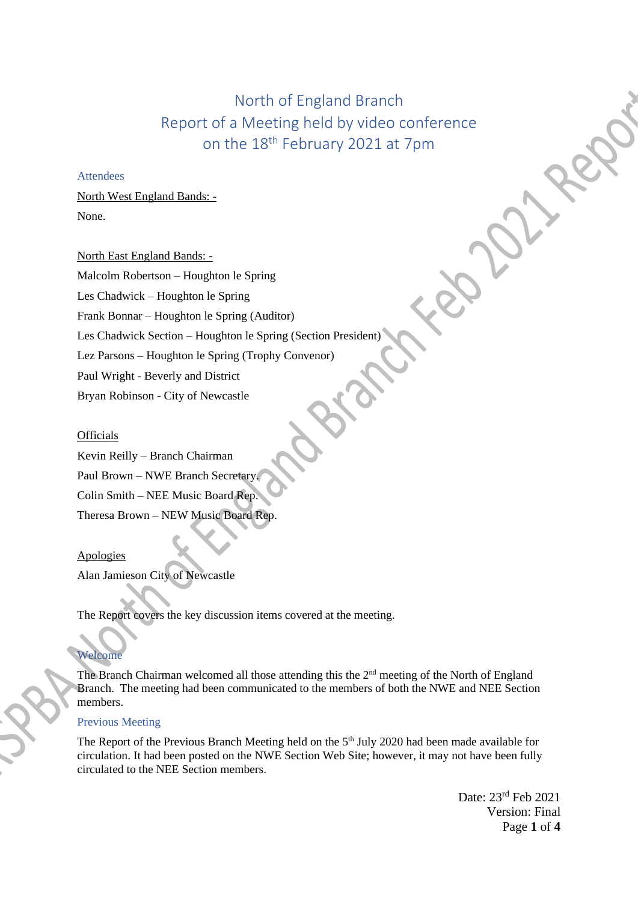# North of England Branch Report of a Meeting held by video conference on the 18th February 2021 at 7pm

## **Attendees**

North West England Bands: - None.

North East England Bands: -

Malcolm Robertson – Houghton le Spring

Les Chadwick – Houghton le Spring

Frank Bonnar – Houghton le Spring (Auditor)

Les Chadwick Section – Houghton le Spring (Section President)

Lez Parsons – Houghton le Spring (Trophy Convenor)

Paul Wright - Beverly and District

Bryan Robinson - City of Newcastle

#### **Officials**

Kevin Reilly – Branch Chairman Paul Brown – NWE Branch Secretary. Colin Smith – NEE Music Board Rep. Theresa Brown – NEW Music Board Rep.

#### Apologies

Alan Jamieson City of Newcastle

The Report covers the key discussion items covered at the meeting.

## Welcome

The Branch Chairman welcomed all those attending this the 2<sup>nd</sup> meeting of the North of England Branch. The meeting had been communicated to the members of both the NWE and NEE Section members.

## Previous Meeting

The Report of the Previous Branch Meeting held on the 5<sup>th</sup> July 2020 had been made available for circulation. It had been posted on the NWE Section Web Site; however, it may not have been fully circulated to the NEE Section members.

> Date: 23rd Feb 2021 Version: Final Page **1** of **4**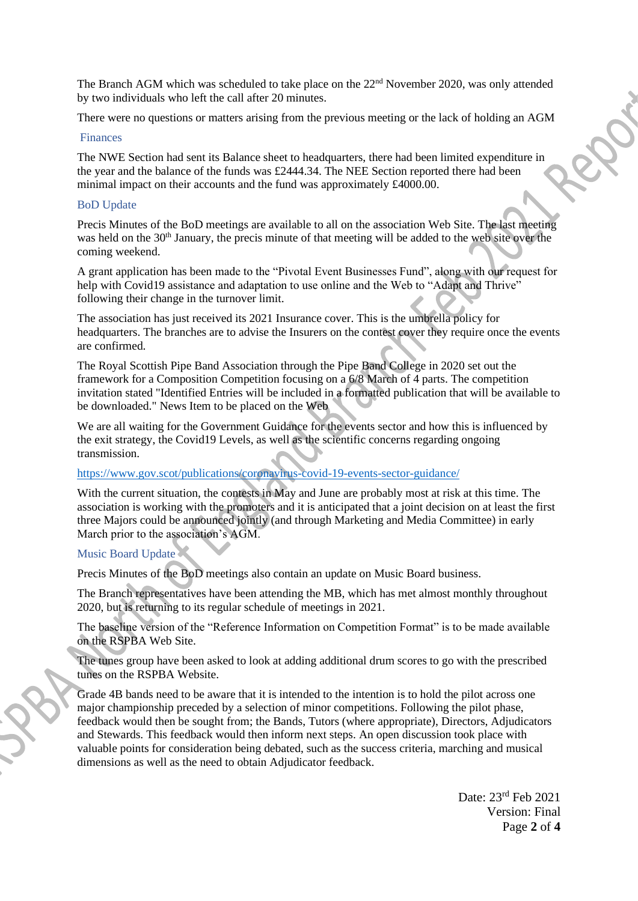The Branch AGM which was scheduled to take place on the 22<sup>nd</sup> November 2020, was only attended by two individuals who left the call after 20 minutes.

There were no questions or matters arising from the previous meeting or the lack of holding an AGM

#### Finances

The NWE Section had sent its Balance sheet to headquarters, there had been limited expenditure in the year and the balance of the funds was £2444.34. The NEE Section reported there had been minimal impact on their accounts and the fund was approximately £4000.00.

## BoD Update

Precis Minutes of the BoD meetings are available to all on the association Web Site. The last meeting was held on the 30<sup>th</sup> January, the precis minute of that meeting will be added to the web site over the coming weekend.

A grant application has been made to the "Pivotal Event Businesses Fund", along with our request for help with Covid19 assistance and adaptation to use online and the Web to "Adapt and Thrive" following their change in the turnover limit.

The association has just received its 2021 Insurance cover. This is the umbrella policy for headquarters. The branches are to advise the Insurers on the contest cover they require once the events are confirmed.

The Royal Scottish Pipe Band Association through the Pipe Band College in 2020 set out the framework for a Composition Competition focusing on a 6/8 March of 4 parts. The competition invitation stated "Identified Entries will be included in a formatted publication that will be available to be downloaded." News Item to be placed on the Web

We are all waiting for the Government Guidance for the events sector and how this is influenced by the exit strategy, the Covid19 Levels, as well as the scientific concerns regarding ongoing transmission.

## <https://www.gov.scot/publications/coronavirus-covid-19-events-sector-guidance/>

With the current situation, the contests in May and June are probably most at risk at this time. The association is working with the promoters and it is anticipated that a joint decision on at least the first three Majors could be announced jointly (and through Marketing and Media Committee) in early March prior to the association's AGM.

## Music Board Update

Precis Minutes of the BoD meetings also contain an update on Music Board business.

The Branch representatives have been attending the MB, which has met almost monthly throughout 2020, but is returning to its regular schedule of meetings in 2021.

The baseline version of the "Reference Information on Competition Format" is to be made available on the RSPBA Web Site.

The tunes group have been asked to look at adding additional drum scores to go with the prescribed tunes on the RSPBA Website.

Grade 4B bands need to be aware that it is intended to the intention is to hold the pilot across one major championship preceded by a selection of minor competitions. Following the pilot phase, feedback would then be sought from; the Bands, Tutors (where appropriate), Directors, Adjudicators and Stewards. This feedback would then inform next steps. An open discussion took place with valuable points for consideration being debated, such as the success criteria, marching and musical dimensions as well as the need to obtain Adjudicator feedback.

> Date: 23rd Feb 2021 Version: Final Page **2** of **4**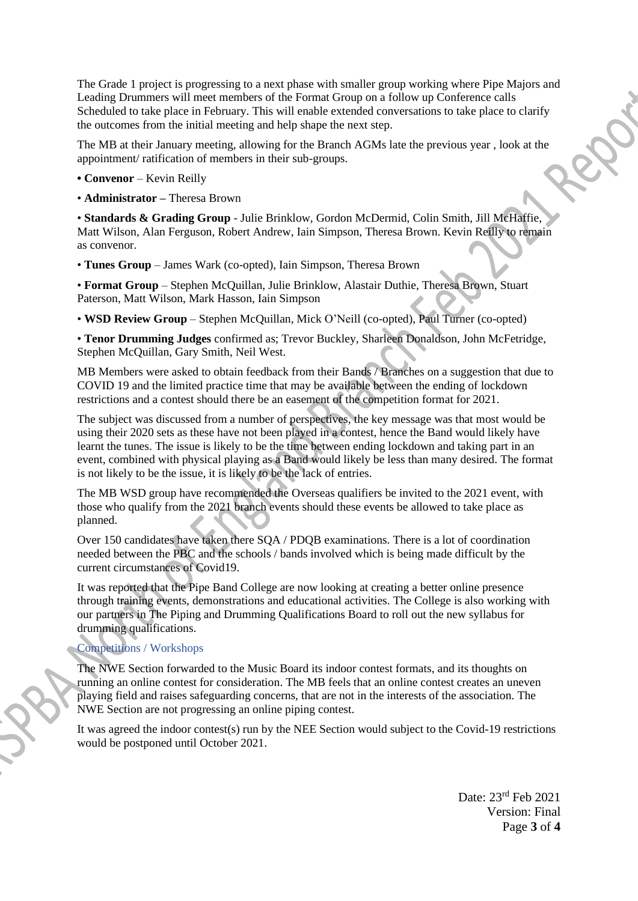The Grade 1 project is progressing to a next phase with smaller group working where Pipe Majors and Leading Drummers will meet members of the Format Group on a follow up Conference calls Scheduled to take place in February. This will enable extended conversations to take place to clarify the outcomes from the initial meeting and help shape the next step.

The MB at their January meeting, allowing for the Branch AGMs late the previous year , look at the appointment/ ratification of members in their sub-groups.

**• Convenor** – Kevin Reilly

• **Administrator –** Theresa Brown

• **Standards & Grading Group** - Julie Brinklow, Gordon McDermid, Colin Smith, Jill McHaffie, Matt Wilson, Alan Ferguson, Robert Andrew, Iain Simpson, Theresa Brown. Kevin Reilly to remain as convenor.

• **Tunes Group** – James Wark (co-opted), Iain Simpson, Theresa Brown

• **Format Group** – Stephen McQuillan, Julie Brinklow, Alastair Duthie, Theresa Brown, Stuart Paterson, Matt Wilson, Mark Hasson, Iain Simpson

• **WSD Review Group** – Stephen McQuillan, Mick O'Neill (co-opted), Paul Turner (co-opted)

• **Tenor Drumming Judges** confirmed as; Trevor Buckley, Sharleen Donaldson, John McFetridge, Stephen McQuillan, Gary Smith, Neil West.

MB Members were asked to obtain feedback from their Bands / Branches on a suggestion that due to COVID 19 and the limited practice time that may be available between the ending of lockdown restrictions and a contest should there be an easement of the competition format for 2021.

The subject was discussed from a number of perspectives, the key message was that most would be using their 2020 sets as these have not been played in a contest, hence the Band would likely have learnt the tunes. The issue is likely to be the time between ending lockdown and taking part in an event, combined with physical playing as a Band would likely be less than many desired. The format is not likely to be the issue, it is likely to be the lack of entries.

The MB WSD group have recommended the Overseas qualifiers be invited to the 2021 event, with those who qualify from the 2021 branch events should these events be allowed to take place as planned.

Over 150 candidates have taken there SQA / PDQB examinations. There is a lot of coordination needed between the PBC and the schools / bands involved which is being made difficult by the current circumstances of Covid19.

It was reported that the Pipe Band College are now looking at creating a better online presence through training events, demonstrations and educational activities. The College is also working with our partners in The Piping and Drumming Qualifications Board to roll out the new syllabus for drumming qualifications.

## Competitions / Workshops

The NWE Section forwarded to the Music Board its indoor contest formats, and its thoughts on running an online contest for consideration. The MB feels that an online contest creates an uneven playing field and raises safeguarding concerns, that are not in the interests of the association. The NWE Section are not progressing an online piping contest.

It was agreed the indoor contest(s) run by the NEE Section would subject to the Covid-19 restrictions would be postponed until October 2021.

> Date: 23rd Feb 2021 Version: Final Page **3** of **4**